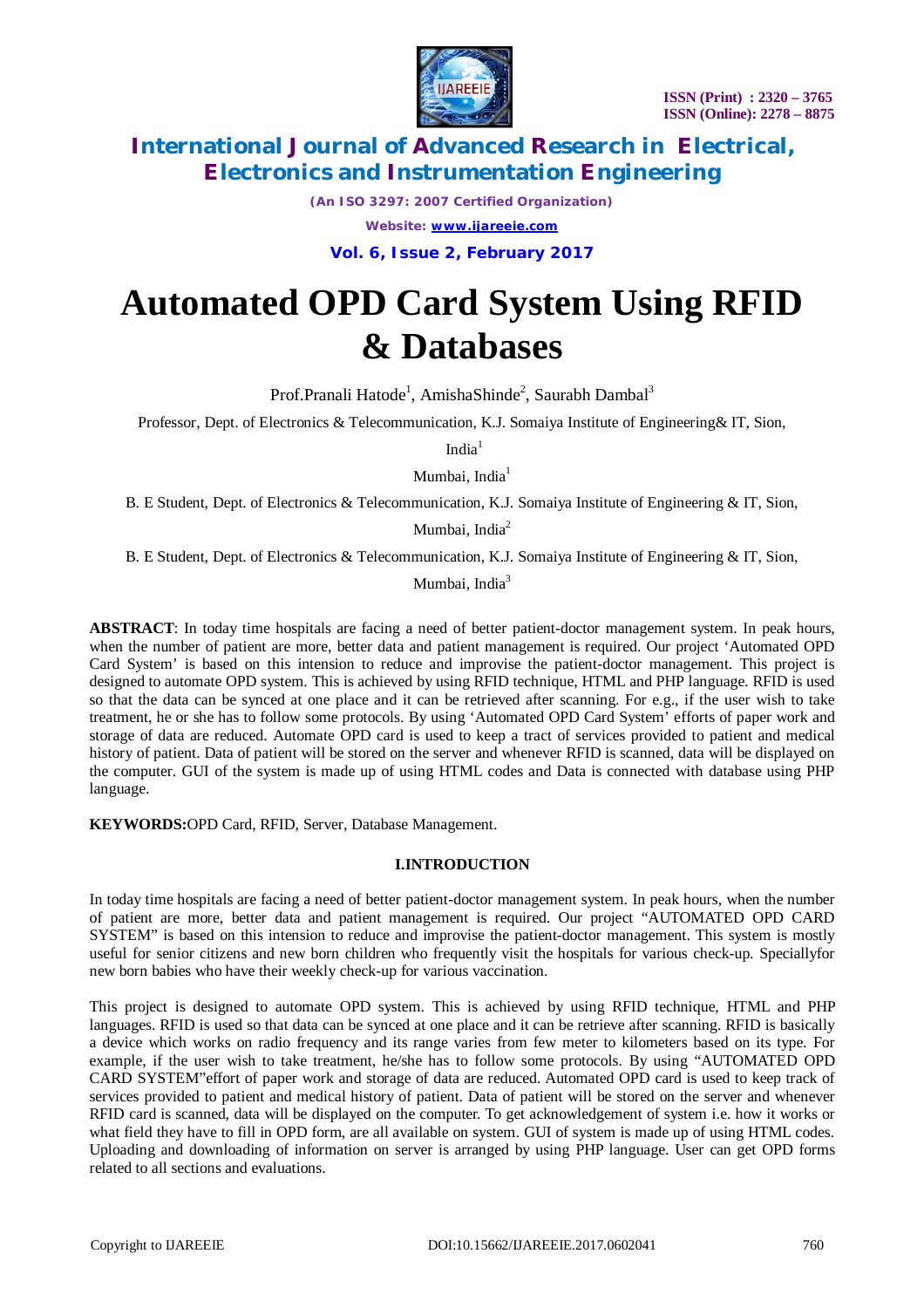

*(An ISO 3297: 2007 Certified Organization)*

*Website: [www.ijareeie.com](http://www.ijareeie.com)*

**Vol. 6, Issue 2, February 2017**

# **Automated OPD Card System Using RFID & Databases**

Prof.Pranali Hatode<sup>1</sup>, AmishaShinde<sup>2</sup>, Saurabh Dambal<sup>3</sup>

Professor, Dept. of Electronics & Telecommunication, K.J. Somaiya Institute of Engineering& IT, Sion,

India $1$ 

Mumbai, India<sup>1</sup>

B. E Student, Dept. of Electronics & Telecommunication, K.J. Somaiya Institute of Engineering & IT, Sion,

Mumbai, India<sup>2</sup>

B. E Student, Dept. of Electronics & Telecommunication, K.J. Somaiya Institute of Engineering & IT, Sion,

Mumbai, India<sup>3</sup>

**ABSTRACT**: In today time hospitals are facing a need of better patient-doctor management system. In peak hours, when the number of patient are more, better data and patient management is required. Our project 'Automated OPD Card System' is based on this intension to reduce and improvise the patient-doctor management. This project is designed to automate OPD system. This is achieved by using RFID technique, HTML and PHP language. RFID is used so that the data can be synced at one place and it can be retrieved after scanning. For e.g., if the user wish to take treatment, he or she has to follow some protocols. By using 'Automated OPD Card System' efforts of paper work and storage of data are reduced. Automate OPD card is used to keep a tract of services provided to patient and medical history of patient. Data of patient will be stored on the server and whenever RFID is scanned, data will be displayed on the computer. GUI of the system is made up of using HTML codes and Data is connected with database using PHP language.

**KEYWORDS:**OPD Card, RFID, Server, Database Management.

## **I.INTRODUCTION**

In today time hospitals are facing a need of better patient-doctor management system. In peak hours, when the number of patient are more, better data and patient management is required. Our project "AUTOMATED OPD CARD SYSTEM" is based on this intension to reduce and improvise the patient-doctor management. This system is mostly useful for senior citizens and new born children who frequently visit the hospitals for various check-up. Speciallyfor new born babies who have their weekly check-up for various vaccination.

This project is designed to automate OPD system. This is achieved by using RFID technique, HTML and PHP languages. RFID is used so that data can be synced at one place and it can be retrieve after scanning. RFID is basically a device which works on radio frequency and its range varies from few meter to kilometers based on its type. For example, if the user wish to take treatment, he/she has to follow some protocols. By using "AUTOMATED OPD CARD SYSTEM"effort of paper work and storage of data are reduced. Automated OPD card is used to keep track of services provided to patient and medical history of patient. Data of patient will be stored on the server and whenever RFID card is scanned, data will be displayed on the computer. To get acknowledgement of system i.e. how it works or what field they have to fill in OPD form, are all available on system. GUI of system is made up of using HTML codes. Uploading and downloading of information on server is arranged by using PHP language. User can get OPD forms related to all sections and evaluations.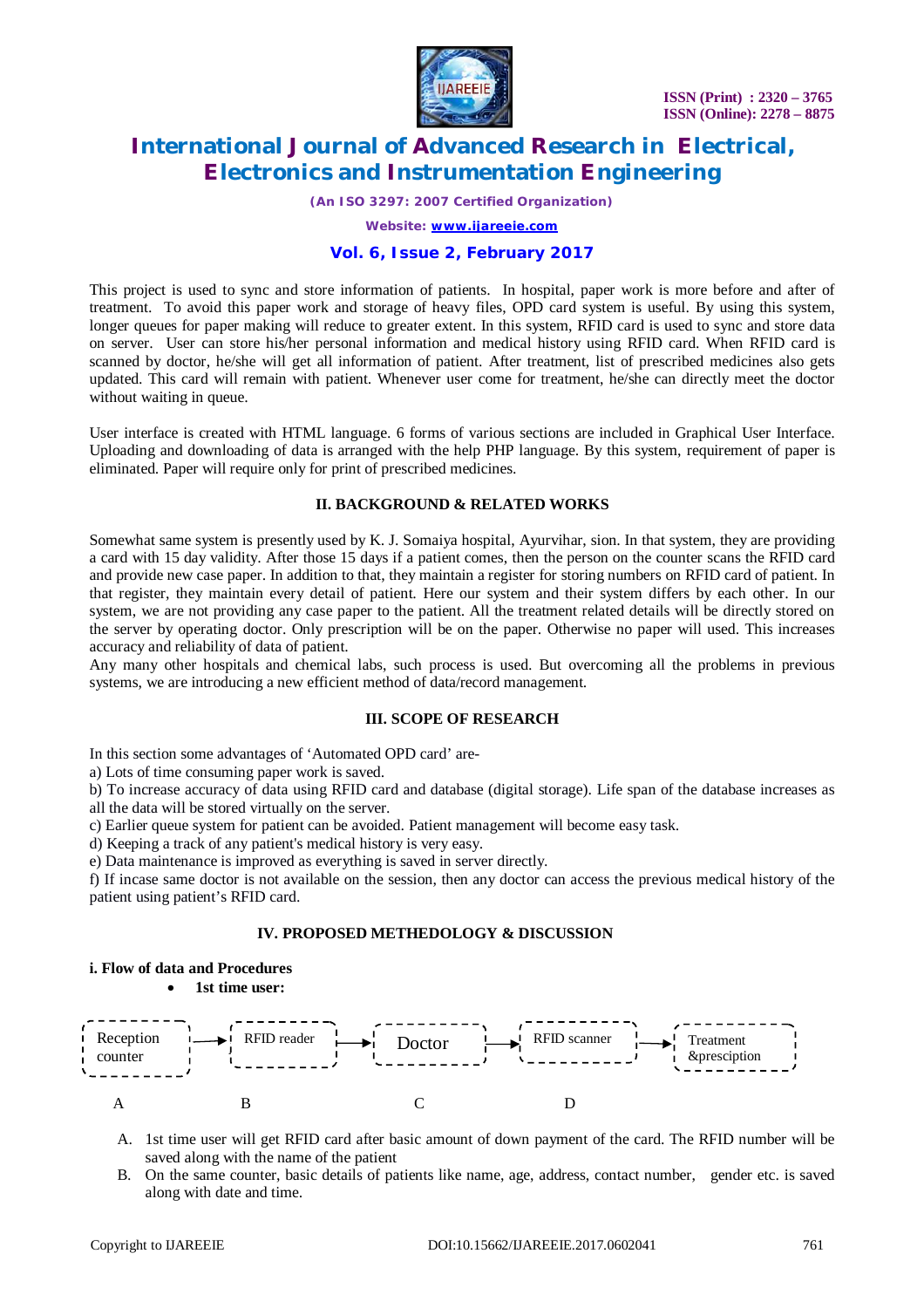

*(An ISO 3297: 2007 Certified Organization)*

*Website: [www.ijareeie.com](http://www.ijareeie.com)*

## **Vol. 6, Issue 2, February 2017**

This project is used to sync and store information of patients. In hospital, paper work is more before and after of treatment. To avoid this paper work and storage of heavy files, OPD card system is useful. By using this system, longer queues for paper making will reduce to greater extent. In this system, RFID card is used to sync and store data on server. User can store his/her personal information and medical history using RFID card. When RFID card is scanned by doctor, he/she will get all information of patient. After treatment, list of prescribed medicines also gets updated. This card will remain with patient. Whenever user come for treatment, he/she can directly meet the doctor without waiting in queue.

User interface is created with HTML language. 6 forms of various sections are included in Graphical User Interface. Uploading and downloading of data is arranged with the help PHP language. By this system, requirement of paper is eliminated. Paper will require only for print of prescribed medicines.

## **II. BACKGROUND & RELATED WORKS**

Somewhat same system is presently used by K. J. Somaiya hospital, Ayurvihar, sion. In that system, they are providing a card with 15 day validity. After those 15 days if a patient comes, then the person on the counter scans the RFID card and provide new case paper. In addition to that, they maintain a register for storing numbers on RFID card of patient. In that register, they maintain every detail of patient. Here our system and their system differs by each other. In our system, we are not providing any case paper to the patient. All the treatment related details will be directly stored on the server by operating doctor. Only prescription will be on the paper. Otherwise no paper will used. This increases accuracy and reliability of data of patient.

Any many other hospitals and chemical labs, such process is used. But overcoming all the problems in previous systems, we are introducing a new efficient method of data/record management.

#### **III. SCOPE OF RESEARCH**

In this section some advantages of 'Automated OPD card' are-

a) Lots of time consuming paper work is saved.

b) To increase accuracy of data using RFID card and database (digital storage). Life span of the database increases as all the data will be stored virtually on the server.

c) Earlier queue system for patient can be avoided. Patient management will become easy task.

d) Keeping a track of any patient's medical history is very easy.

e) Data maintenance is improved as everything is saved in server directly.

f) If incase same doctor is not available on the session, then any doctor can access the previous medical history of the patient using patient's RFID card.

#### **IV. PROPOSED METHEDOLOGY & DISCUSSION**

#### **i. Flow of data and Procedures**

**1st time user:** 



- A. 1st time user will get RFID card after basic amount of down payment of the card. The RFID number will be saved along with the name of the patient
- B. On the same counter, basic details of patients like name, age, address, contact number, gender etc. is saved along with date and time.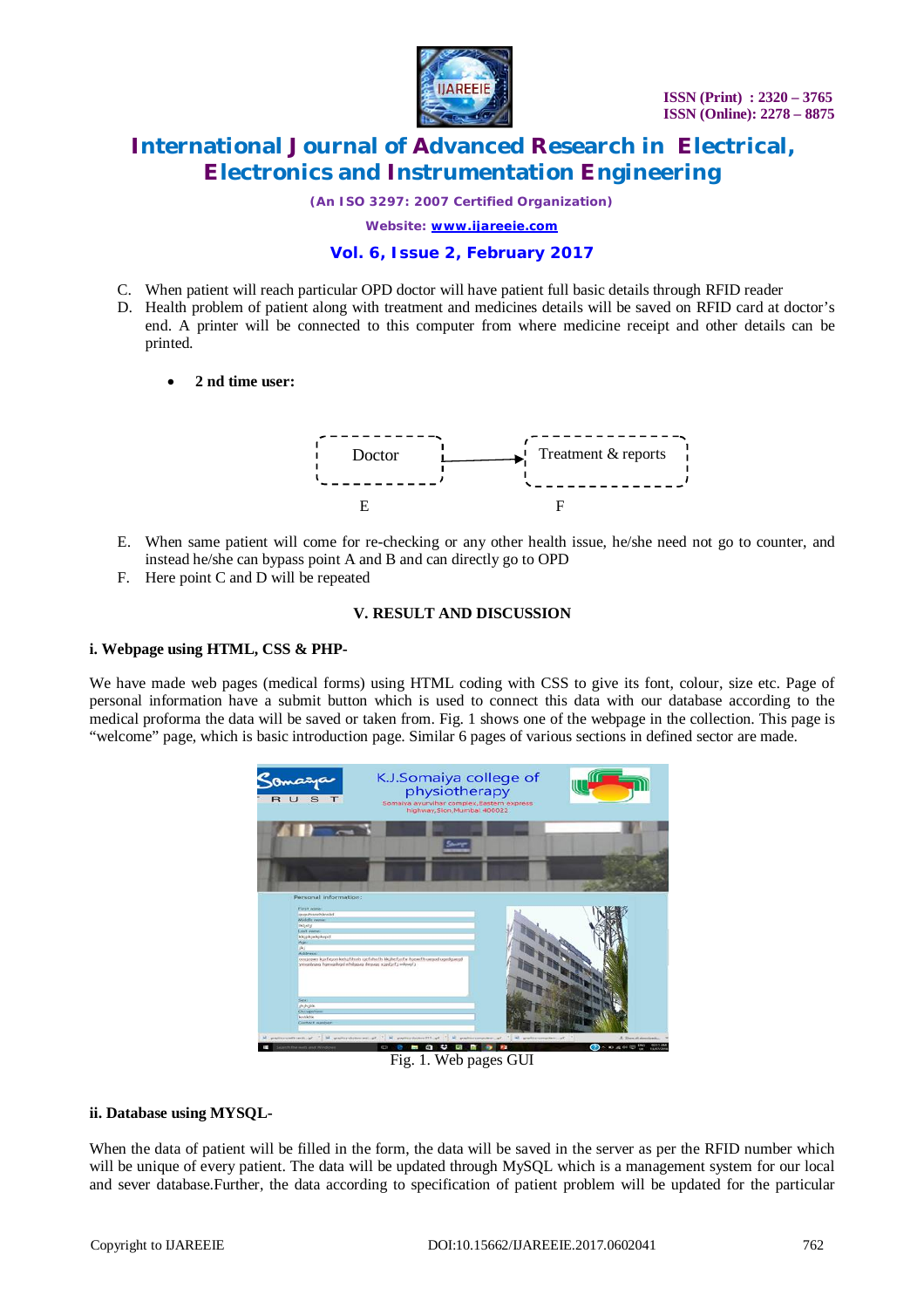

*(An ISO 3297: 2007 Certified Organization)*

*Website: [www.ijareeie.com](http://www.ijareeie.com)*

## **Vol. 6, Issue 2, February 2017**

- C. When patient will reach particular OPD doctor will have patient full basic details through RFID reader
- D. Health problem of patient along with treatment and medicines details will be saved on RFID card at doctor's end. A printer will be connected to this computer from where medicine receipt and other details can be printed.
	- **2 nd time user:**



- E. When same patient will come for re-checking or any other health issue, he/she need not go to counter, and instead he/she can bypass point A and B and can directly go to OPD
- F. Here point C and D will be repeated

#### **V. RESULT AND DISCUSSION**

#### **i. Webpage using HTML, CSS & PHP-**

We have made web pages (medical forms) using HTML coding with CSS to give its font, colour, size etc. Page of personal information have a submit button which is used to connect this data with our database according to the medical proforma the data will be saved or taken from. Fig. 1 shows one of the webpage in the collection. This page is "welcome" page, which is basic introduction page. Similar 6 pages of various sections in defined sector are made.



Fig. 1. Web pages GUI

## **ii. Database using MYSQL-**

When the data of patient will be filled in the form, the data will be saved in the server as per the RFID number which will be unique of every patient. The data will be updated through MySQL which is a management system for our local and sever database.Further, the data according to specification of patient problem will be updated for the particular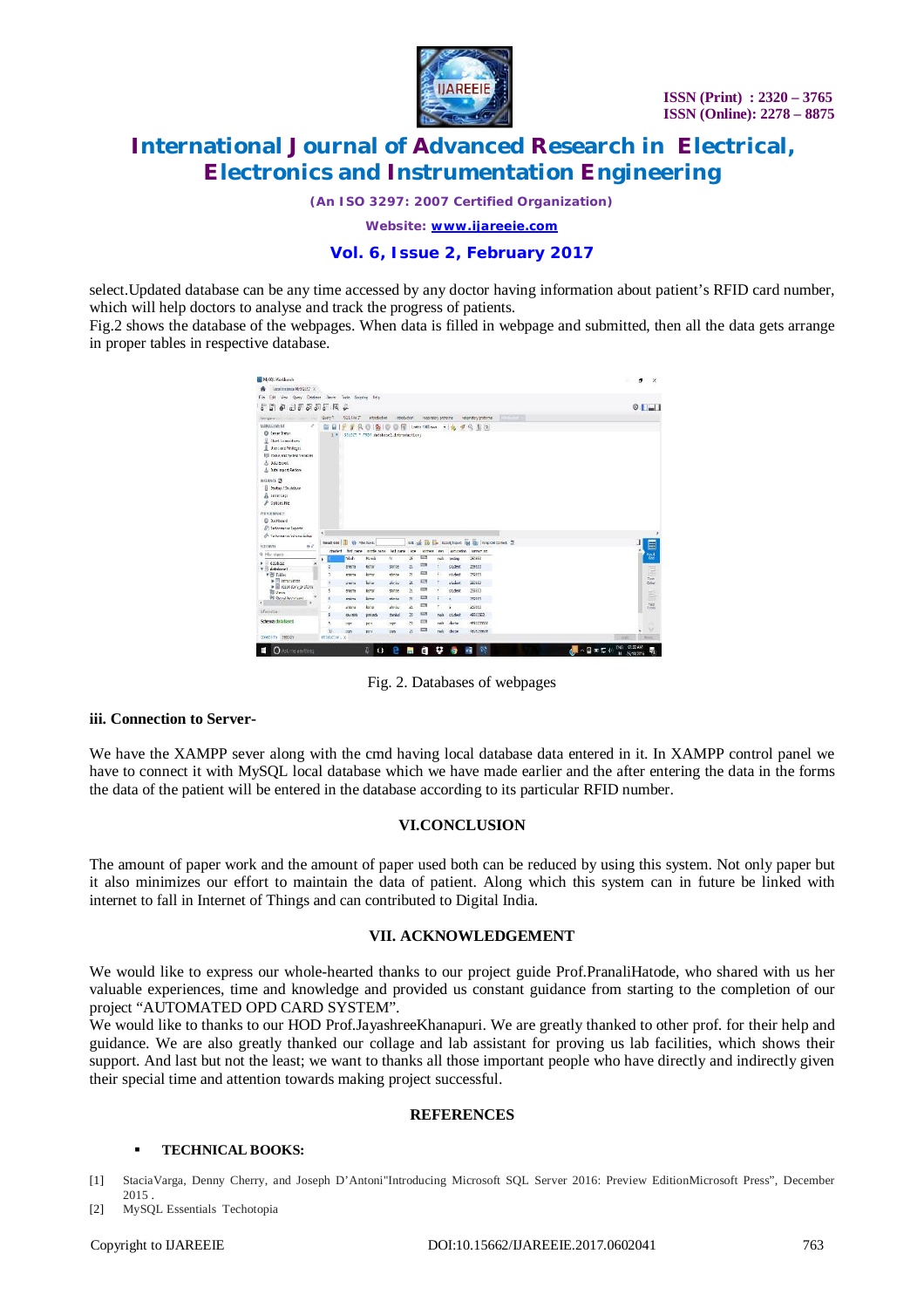

*(An ISO 3297: 2007 Certified Organization)*

*Website: [www.ijareeie.com](http://www.ijareeie.com)*

## **Vol. 6, Issue 2, February 2017**

select.Updated database can be any time accessed by any doctor having information about patient's RFID card number, which will help doctors to analyse and track the progress of patients.

Fig.2 shows the database of the webpages. When data is filled in webpage and submitted, then all the data gets arrange in proper tables in respective database.

| View Guey Debbase Server Took Screene Help-                                                                                                                      |                            |                                    |                                             |              |            |                           |      |                |                                                   |             |  |                |
|------------------------------------------------------------------------------------------------------------------------------------------------------------------|----------------------------|------------------------------------|---------------------------------------------|--------------|------------|---------------------------|------|----------------|---------------------------------------------------|-------------|--|----------------|
| <b>Edit</b><br>File:                                                                                                                                             |                            |                                    |                                             |              |            |                           |      |                |                                                   |             |  |                |
| $\alpha$<br>F<br>s<br>亩                                                                                                                                          | 555 周                      | £                                  |                                             |              |            |                           |      |                |                                                   |             |  | $\circ$ $\Box$ |
| <b>MATERIZ</b>                                                                                                                                                   | Glen/3                     | SULFINT                            | introduction                                | introduction |            | resolutiony protokine.    |      |                | respiratory proforma                              | <b>GREE</b> |  |                |
| MANAGEMENT<br>×<br>C Sever Stetus<br>E thert Connections<br>Users and Privileges<br><b>RE Status and Saster Venables</b><br>& Data Export<br>Data import/Restore | ū<br>1 <sup>8</sup>        | д<br>¥                             | 9b<br>SELECT * FROM databasel.introduction: | 偔            |            | List to 100 year.         |      | $x - 36$<br>4đ | Q 图 2                                             |             |  |                |
| INSTANCE 29<br>El Stefan / Shutdown<br>A Severlage<br>& Options File                                                                                             |                            |                                    |                                             |              |            |                           |      |                |                                                   |             |  |                |
| PERFORMANCE<br><b>El Distroyed</b><br><b>E. Informance Reports</b>                                                                                               |                            |                                    |                                             |              |            |                           |      |                |                                                   |             |  |                |
| 6 <sup>6</sup> Performance Scheme Soluti                                                                                                                         |                            |                                    |                                             |              |            |                           |      |                |                                                   |             |  | $\sim$ 5       |
| 6.7<br>SCHEMAS                                                                                                                                                   |                            | <b>Result Grid III 49 The Room</b> |                                             |              | Solls Isle | <b>Bo</b>                 |      |                | <b>Ex.</b> SportShoom 184 (W) Who Cal Cortect: 19 |             |  |                |
| Q. His steets                                                                                                                                                    | Idooter1                   |                                    | fort new indis next liet new                |              | 628        | address                   | nev. |                | conjuntion contact re-                            |             |  | E              |
| drabau                                                                                                                                                           | k                          | Walk                               | Manda                                       | N            | z          | m                         | nik  | <b>XSIN</b>    | 25/153                                            |             |  | ing)<br>Gra    |
|                                                                                                                                                                  | Z                          | anders                             | kichor                                      | shinge       | 21         | EI                        |      | chident.       | 25453                                             |             |  | ÷              |
| <b>v</b> Bit Tables                                                                                                                                              | $\overline{1}$             | entring                            | king.                                       | dete         | 21         | EITS                      | ă.   | rhalent.       | 253111                                            |             |  | Fom            |
| <b>Fill Imagement</b><br>E respiratory proform                                                                                                                   |                            | 200N                               | konz                                        | dedo         | $_{21}$    | EU.                       |      | staket.        | 25583                                             |             |  | Exite          |
| <b>REVIEW</b>                                                                                                                                                    | t                          | spices                             | <b>kense</b>                                | 状態性          | $^{21}$    | <b>EDS</b><br><b>ELTS</b> | ×    | student        | 258853                                            |             |  | E              |
| <b>Bi</b> stord from turns<br>$\overline{ }$                                                                                                                     |                            | enions                             | kinsur.                                     | dese         | 28         |                           | z    | ٠              | 254153                                            |             |  | 7aid           |
|                                                                                                                                                                  |                            | area'u                             | king                                        | dinks        | $_{21}$    | EZ                        | ×    | Ň.             | 260463                                            |             |  | <b>Types</b>   |
| k li<br>v detabase1<br>afornizia<br>Schemar database !                                                                                                           | ä                          | \$50/\$30                          | preight                                     | dangel       | w          | <b>EXIS</b><br>$\Box$     | nole | student.       | 46562563                                          |             |  |                |
|                                                                                                                                                                  | ă,                         | 757                                | pere                                        | 277          | Xb         |                           | mile | doctor         | 405125920                                         |             |  | $\sim$         |
| Down Ivio Sendian                                                                                                                                                | $_{22}$<br>rimited on List | 222                                | pera                                        | 225          | z          | EA                        | rade | docast         | (80525503b                                        |             |  | <b>Record</b>  |

Fig. 2. Databases of webpages

## **iii. Connection to Server-**

We have the XAMPP sever along with the cmd having local database data entered in it. In XAMPP control panel we have to connect it with MySQL local database which we have made earlier and the after entering the data in the forms the data of the patient will be entered in the database according to its particular RFID number.

## **VI.CONCLUSION**

The amount of paper work and the amount of paper used both can be reduced by using this system. Not only paper but it also minimizes our effort to maintain the data of patient. Along which this system can in future be linked with internet to fall in Internet of Things and can contributed to Digital India.

## **VII. ACKNOWLEDGEMENT**

We would like to express our whole-hearted thanks to our project guide Prof.PranaliHatode, who shared with us her valuable experiences, time and knowledge and provided us constant guidance from starting to the completion of our project "AUTOMATED OPD CARD SYSTEM".

We would like to thanks to our HOD Prof.JayashreeKhanapuri. We are greatly thanked to other prof. for their help and guidance. We are also greatly thanked our collage and lab assistant for proving us lab facilities, which shows their support. And last but not the least; we want to thanks all those important people who have directly and indirectly given their special time and attention towards making project successful.

## **REFERENCES**

#### **TECHNICAL BOOKS:**

[1] StaciaVarga, Denny Cherry, and Joseph D'Antoni"Introducing Microsoft SQL Server 2016: Preview EditionMicrosoft Press", December 2015 .

[2] MySQL Essentials Techotopia